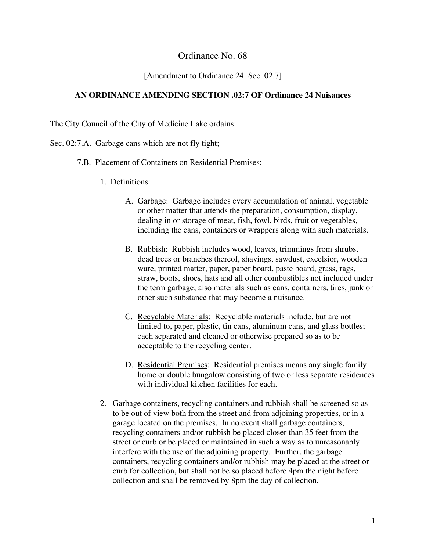### Ordinance No. 68

#### [Amendment to Ordinance 24: Sec. 02.7]

#### **AN ORDINANCE AMENDING SECTION .02:7 OF Ordinance 24 Nuisances**

The City Council of the City of Medicine Lake ordains:

- Sec. 02:7.A. Garbage cans which are not fly tight;
	- 7.B. Placement of Containers on Residential Premises:
		- 1. Definitions:
			- A. Garbage: Garbage includes every accumulation of animal, vegetable or other matter that attends the preparation, consumption, display, dealing in or storage of meat, fish, fowl, birds, fruit or vegetables, including the cans, containers or wrappers along with such materials.
			- B. Rubbish: Rubbish includes wood, leaves, trimmings from shrubs, dead trees or branches thereof, shavings, sawdust, excelsior, wooden ware, printed matter, paper, paper board, paste board, grass, rags, straw, boots, shoes, hats and all other combustibles not included under the term garbage; also materials such as cans, containers, tires, junk or other such substance that may become a nuisance.
			- C. Recyclable Materials: Recyclable materials include, but are not limited to, paper, plastic, tin cans, aluminum cans, and glass bottles; each separated and cleaned or otherwise prepared so as to be acceptable to the recycling center.
			- D. Residential Premises: Residential premises means any single family home or double bungalow consisting of two or less separate residences with individual kitchen facilities for each.
		- 2. Garbage containers, recycling containers and rubbish shall be screened so as to be out of view both from the street and from adjoining properties, or in a garage located on the premises. In no event shall garbage containers, recycling containers and/or rubbish be placed closer than 35 feet from the street or curb or be placed or maintained in such a way as to unreasonably interfere with the use of the adjoining property. Further, the garbage containers, recycling containers and/or rubbish may be placed at the street or curb for collection, but shall not be so placed before 4pm the night before collection and shall be removed by 8pm the day of collection.